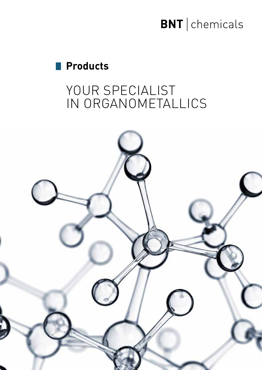# **BNT** chemicals

# **Products**

# YOUR SPECIALIST IN ORGANOMETALLICS

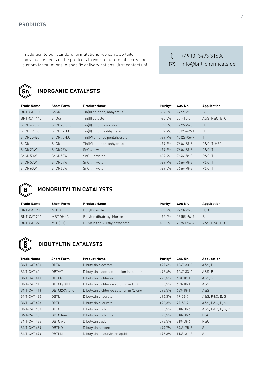In addition to our standard formulations, we can also tailor individual aspects of the products to your requirements, creating custom formulations in specific delivery options. Just contact us!

 $\mathcal{R}$ +49 (0) 3493 31630 info@bnt-chemicals.de



### **INORGANIC CATALYSTS**

| <b>Trade Name</b>     | <b>Short Form</b>          | <b>Product Name</b>           | Purity*   | CAS Nr.        | Application      |
|-----------------------|----------------------------|-------------------------------|-----------|----------------|------------------|
| BNT-CAT 100           | SnCl <sub>2</sub>          | Tin(II) chloride, anhydrous   | ≥99.0%    | 7772-99-8      | B                |
| BNT-CAT 110           | SnOc <sub>2</sub>          | Tin(II) octoate               | 395.5%    | $301 - 10 - 0$ | A&S, P&C, B, 0   |
| SnCl2 solution        | SnCl <sub>2</sub> solution | Tin(II) chloride solution     | $399.0\%$ | 7772-99-8      | B                |
| $SnCl2$ . $2H2O$      | $SnCl2$ . $2H2O$           | Tin(II) chloride dihydrate    | $397.9\%$ | 10025-69-1     | B                |
| $SnCl4$ , $5H2O$      | $SnCl4$ , $5H2O$           | Tin(IV) chloride pentahydrate | $399.9\%$ | 10026-06-9     |                  |
| SnCl <sub>4</sub>     | SnCl <sub>4</sub>          | Tin(IV) chloride, anhydrous   | $399.9\%$ | 7646-78-8      | P&C, T, HEC      |
| SnCl <sub>4</sub> 23W | SnCl <sub>4</sub> 23W      | SnCl4 in water                | $399.9\%$ | 7646-78-8      | <b>P&amp;C.T</b> |
| SnCl <sub>4</sub> 50W | SnCl <sub>4</sub> 50W      | SnCl4 in water                | $399.9\%$ | 7646-78-8      | <b>P&amp;C.T</b> |
| SnCl <sub>4</sub> 57W | SnCl <sub>4</sub> 57W      | SnCl4 in water                | $399.9\%$ | 7646-78-8      | <b>P&amp;C.T</b> |
| SnCl4 60W             | SnCl4 60W                  | SnCl4 in water                | $399.0\%$ | 7646-78-8      | <b>P&amp;C.T</b> |



#### **MONOBUTYLTIN CATALYSTS**

| <b>Trade Name</b> | <b>Short Form</b>       | <b>Product Name</b>            | Purity*       | CAS Nr.     | Application    |
|-------------------|-------------------------|--------------------------------|---------------|-------------|----------------|
| BNT-CAT 200       | <b>MBTO</b>             | Butyltin oxide                 | $299.7\%$     | - 2273-43-0 | B. 0           |
| BNT-CAT 210       | MBT(OH) <sub>2</sub> CL | Butyltin dihydroxychloride     | ≥95.0%        | 13355-96-9  | B              |
| BNT-CAT 220       | MBT(EH)3                | Butyltin tris-2-ethylhexanoate | $\geq 98.0\%$ | 23850-94-4  | A&S. P&C. B. 0 |



#### **DIBUTYLTIN CATALYSTS**

| <b>Trade Name</b> | <b>Short Form</b> | <b>Product Name</b>                      | Purity*   | CAS Nr.         | Application       |
|-------------------|-------------------|------------------------------------------|-----------|-----------------|-------------------|
| BNT-CAT 400       | <b>DBTA</b>       | Dibutyltin diacetate                     | ≥97.6%    | $1067 - 33 - 0$ | A&S, B            |
| BNT-CAT 401       | DBTA/Tol          | Dibutyltin diacetate solution in toluene | ≥97,6%    | $1067 - 33 - 0$ | A&S, B            |
| BNT-CAT 410       | DBTCl2            | Dibutyltin dichloride                    | ≥98,5%    | $683 - 18 - 1$  | A&S, S            |
| BNT-CAT 411       | DBTCl2/DIDP       | Dibutyltin dichloride solution in DIDP   | ≥98,5%    | $683 - 18 - 1$  | A&S               |
| BNT-CAT 413       | DBTCl2/Xylene     | Dibutyltin dichloride solution in Xylene | ≥98,5%    | $683 - 18 - 1$  | A&S               |
| BNT-CAT 422       | <b>DBTL</b>       | Dibutyltin dilaurate                     | ≥96,3%    | $77 - 58 - 7$   | A&S, P&C, B, S    |
| BNT-CAT 423       | <b>DBTL</b>       | Dibutyltin dilaurate                     | ≥96,3%    | $77 - 58 - 7$   | A&S, P&C, B, S    |
| BNT-CAT 430       | DBT0              | Dibutyltin oxide                         | 398.5%    | 818-08-6        | A&S, P&C, B, S, O |
| BNT-CAT 431       | DBTO fine         | Dibutyltin oxide fine                    | $398.5\%$ | $818 - 08 - 6$  | P&C               |
| BNT-CAT 435       | DBTO wet          | Dibutyltin oxide                         | ≥98,5%    | $818 - 08 - 6$  | P&C               |
| BNT-CAT 480       | <b>DBTND</b>      | Dibutyltin neodecanoate                  | ≥94.7%    | $3465 - 75 - 6$ | S.                |
| BNT-CAT 490       | <b>DBTLM</b>      | Dibutyltin di(laurylmercaptide)          | ≥96.8%    | 1185-81-5       | S                 |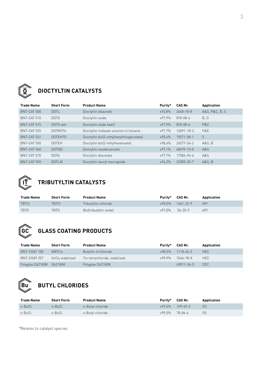

### **DIOCTYLTIN CATALYSTS**

| <b>Trade Name</b> | <b>Short Form</b> | <b>Product Name</b>                       | Purity*      | CAS Nr.    | Application    |
|-------------------|-------------------|-------------------------------------------|--------------|------------|----------------|
| BNT-CAT 500       | <b>DOTL</b>       | Dioctyltin dilaurate                      | $293.8\%$    | 3648-18-8  | A&S, P&C, B, S |
| BNT-CAT 510       | DOTO              | Dioctyltin oxide                          | $397.9\%$    | 870-08-6   | B, O           |
| BNT-CAT 515       | DOTO wet          | Dioctyltin oxide (wet)                    | $\ge 97.9\%$ | 870-08-6   | P&C            |
| BNT-CAT 525       | DOTM/Tol          | Dioctyltin maleate solution in toluene    | ≥97.7%       | 16091-18-2 | F&F            |
| BNT-CAT 531       | <b>DOTEHTG</b>    | Dioctyltin bis(2-ethylhexylthioglycolate) | ≥95,6%       | 15571-58-1 | S              |
| BNT-CAT 550       | <b>DOTEH</b>      | Dioctyltin bis(2-ethylhexanoate)          | ≥98,4%       | 24577-34-2 | A&S, B         |
| BNT-CAT 560       | <b>DOTND</b>      | Dioctyltin neodecanoate                   | ≥97,1%       | 68299-15-0 | A&S            |
| BNT-CAT 570       | <b>DOTA</b>       | Dioctyltin diacetate                      | $\ge 97.7\%$ | 17586-94-6 | A&S            |
| BNT-CAT 590       | <b>DOTLM</b>      | Dioctyltin lauryl mercaptide              | $\ge 96.2\%$ | 22205-30-7 | A&S, B         |



## **TRIBUTYLTIN CATALYSTS**

| <b>Trade Name</b> | <b>Short Form</b> | <b>Product Name</b>    | Purity*        | CAS Nr.                | Application |
|-------------------|-------------------|------------------------|----------------|------------------------|-------------|
| <b>TBTCL</b>      | TBTCL             | Tributyltin chloride   |                | $\ge 95.0\%$ 1461-22-9 | <b>API</b>  |
| <b>TBTO</b>       | TBT0              | Bis(tributyltin oxide) | ≥97.0% 56-35-9 |                        | <b>API</b>  |

# **GC**

# **GLASS COATING PRODUCTS**

| <b>Trade Name</b>        | <b>Short Form</b>            | <b>Product Name</b>           | Purity*   | CAS Nr.         | Application |
|--------------------------|------------------------------|-------------------------------|-----------|-----------------|-------------|
| BNT-COAT 100             | MBTC <sub>l3</sub>           | Butyltin trichloride          | $298.5\%$ | $1118 - 46 - 3$ | HEC         |
| BNT-COAT 257             | SnCl <sub>4</sub> stabilized | Tin tetrachloride, stabilized | $299.9\%$ | 7646-78-8       | HEC.        |
| Polyglas D4218/M D4218/M |                              | Polyglas D4218/M              |           | 69011-36-5      | <b>CEC</b>  |



### **BUTYL CHLORIDES**

| <b>Trade Name</b> | <b>Short Form</b> | <b>Product Name</b> | Purity*   | CAS Nr.        | <b>Application</b> |
|-------------------|-------------------|---------------------|-----------|----------------|--------------------|
| n-BuCl            | n-BuCl            | n-Butyl chloride    | $399.5\%$ | $109 - 69 - 3$ | -OS                |
| s-BuCl            | s-BuCl            | s-Butyl chloride    | $299.5\%$ | 78-86-4        | 0S                 |

\*Relates to catalyst species